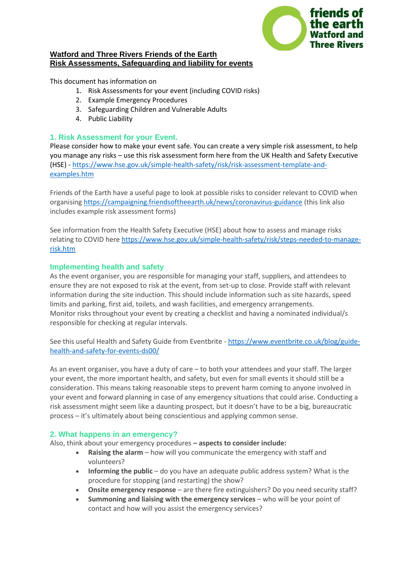

### **Watford and Three Rivers Friends of the Earth Risk Assessments, Safeguarding and liability for events**

This document has information on

- 1. Risk Assessments for your event (including COVID risks)
- 2. Example Emergency Procedures
- 3. Safeguarding Children and Vulnerable Adults
- 4. Public Liability

## **1. Risk Assessment for your Event.**

Please consider how to make your event safe. You can create a very simple risk assessment, to help you manage any risks – use this risk assessment form here from the UK Health and Safety Executive (HSE) - [https://www.hse.gov.uk/simple-health-safety/risk/risk-assessment-template-and](https://www.hse.gov.uk/simple-health-safety/risk/risk-assessment-template-and-examples.htm)[examples.htm](https://www.hse.gov.uk/simple-health-safety/risk/risk-assessment-template-and-examples.htm)

Friends of the Earth have a useful page to look at possible risks to consider relevant to COVID when organisin[g https://campaigning.friendsoftheearth.uk/news/coronavirus-guidance](https://campaigning.friendsoftheearth.uk/news/coronavirus-guidance) (this link also includes example risk assessment forms)

See information from the Health Safety Executive (HSE) about how to assess and manage risks relating to COVID here [https://www.hse.gov.uk/simple-health-safety/risk/steps-needed-to-manage](https://www.hse.gov.uk/simple-health-safety/risk/steps-needed-to-manage-risk.htm)[risk.htm](https://www.hse.gov.uk/simple-health-safety/risk/steps-needed-to-manage-risk.htm)

# **Implementing health and safety**

As the event organiser, you are responsible for managing your staff, suppliers, and attendees to ensure they are not exposed to risk at the event, from set-up to close. Provide staff with relevant information during the site induction. This should include information such as site hazards, speed limits and parking, first aid, toilets, and wash facilities, and emergency arrangements. Monitor risks throughout your event by creating a checklist and having a nominated individual/s responsible for checking at regular intervals.

See this useful Health and Safety Guide from Eventbrite - [https://www.eventbrite.co.uk/blog/guide](https://www.eventbrite.co.uk/blog/guide-health-and-safety-for-events-ds00/)[health-and-safety-for-events-ds00/](https://www.eventbrite.co.uk/blog/guide-health-and-safety-for-events-ds00/)

As an event organiser, you have a duty of care – to both your attendees and your staff. The larger your event, the more important health, and safety, but even for small events it should still be a consideration. This means taking reasonable steps to prevent harm coming to anyone involved in your event and forward planning in case of any emergency situations that could arise. Conducting a risk assessment might seem like a daunting prospect, but it doesn't have to be a big, bureaucratic process – it's ultimately about being conscientious and applying common sense.

### **2. What happens in an emergency?**

Also, think about your emergency procedures **– aspects to consider include:**

- **Raising the alarm** how will you communicate the emergency with staff and volunteers?
- **Informing the public** do you have an adequate public address system? What is the procedure for stopping (and restarting) the show?
- **Onsite emergency response** are there fire extinguishers? Do you need security staff?
- **Summoning and liaising with the emergency services** who will be your point of contact and how will you assist the emergency services?